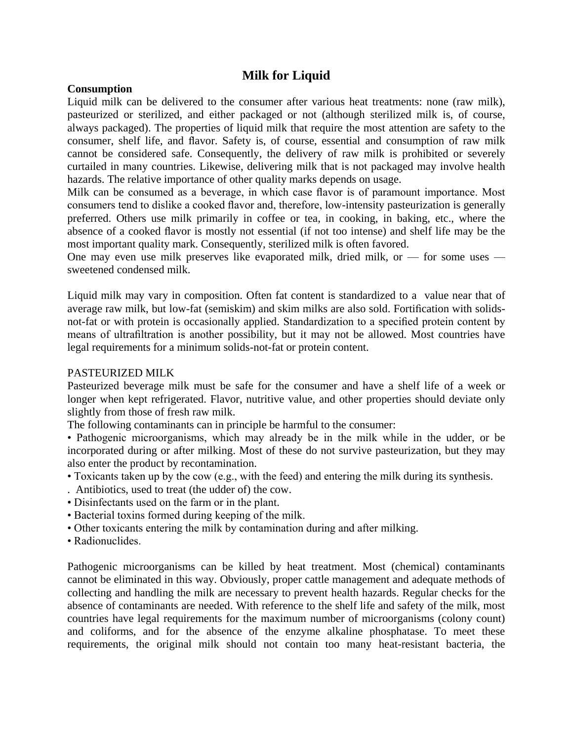## **Milk for Liquid**

#### **Consumption**

Liquid milk can be delivered to the consumer after various heat treatments: none (raw milk), pasteurized or sterilized, and either packaged or not (although sterilized milk is, of course, always packaged). The properties of liquid milk that require the most attention are safety to the consumer, shelf life, and flavor. Safety is, of course, essential and consumption of raw milk cannot be considered safe. Consequently, the delivery of raw milk is prohibited or severely curtailed in many countries. Likewise, delivering milk that is not packaged may involve health hazards. The relative importance of other quality marks depends on usage.

Milk can be consumed as a beverage, in which case flavor is of paramount importance. Most consumers tend to dislike a cooked flavor and, therefore, low-intensity pasteurization is generally preferred. Others use milk primarily in coffee or tea, in cooking, in baking, etc., where the absence of a cooked flavor is mostly not essential (if not too intense) and shelf life may be the most important quality mark. Consequently, sterilized milk is often favored.

One may even use milk preserves like evaporated milk, dried milk, or — for some uses sweetened condensed milk.

Liquid milk may vary in composition. Often fat content is standardized to a value near that of average raw milk, but low-fat (semiskim) and skim milks are also sold. Fortification with solidsnot-fat or with protein is occasionally applied. Standardization to a specified protein content by means of ultrafiltration is another possibility, but it may not be allowed. Most countries have legal requirements for a minimum solids-not-fat or protein content.

#### PASTEURIZED MILK

Pasteurized beverage milk must be safe for the consumer and have a shelf life of a week or longer when kept refrigerated. Flavor, nutritive value, and other properties should deviate only slightly from those of fresh raw milk.

The following contaminants can in principle be harmful to the consumer:

• Pathogenic microorganisms, which may already be in the milk while in the udder, or be incorporated during or after milking. Most of these do not survive pasteurization, but they may also enter the product by recontamination.

- Toxicants taken up by the cow (e.g., with the feed) and entering the milk during its synthesis.
- . Antibiotics, used to treat (the udder of) the cow.
- Disinfectants used on the farm or in the plant.
- Bacterial toxins formed during keeping of the milk.
- Other toxicants entering the milk by contamination during and after milking.
- Radionuclides.

Pathogenic microorganisms can be killed by heat treatment. Most (chemical) contaminants cannot be eliminated in this way. Obviously, proper cattle management and adequate methods of collecting and handling the milk are necessary to prevent health hazards. Regular checks for the absence of contaminants are needed. With reference to the shelf life and safety of the milk, most countries have legal requirements for the maximum number of microorganisms (colony count) and coliforms, and for the absence of the enzyme alkaline phosphatase. To meet these requirements, the original milk should not contain too many heat-resistant bacteria, the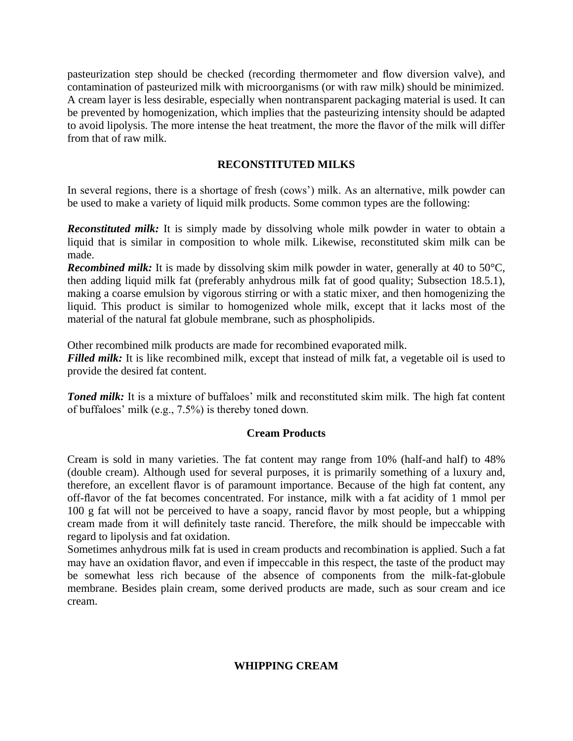pasteurization step should be checked (recording thermometer and flow diversion valve), and contamination of pasteurized milk with microorganisms (or with raw milk) should be minimized. A cream layer is less desirable, especially when nontransparent packaging material is used. It can be prevented by homogenization, which implies that the pasteurizing intensity should be adapted to avoid lipolysis. The more intense the heat treatment, the more the flavor of the milk will differ from that of raw milk.

### **RECONSTITUTED MILKS**

In several regions, there is a shortage of fresh (cows') milk. As an alternative, milk powder can be used to make a variety of liquid milk products. Some common types are the following:

*Reconstituted milk:* It is simply made by dissolving whole milk powder in water to obtain a liquid that is similar in composition to whole milk. Likewise, reconstituted skim milk can be made.

*Recombined milk:* It is made by dissolving skim milk powder in water, generally at 40 to 50<sup>o</sup>C, then adding liquid milk fat (preferably anhydrous milk fat of good quality; Subsection 18.5.1), making a coarse emulsion by vigorous stirring or with a static mixer, and then homogenizing the liquid. This product is similar to homogenized whole milk, except that it lacks most of the material of the natural fat globule membrane, such as phospholipids.

Other recombined milk products are made for recombined evaporated milk.

*Filled milk:* It is like recombined milk, except that instead of milk fat, a vegetable oil is used to provide the desired fat content.

*Toned milk:* It is a mixture of buffaloes' milk and reconstituted skim milk. The high fat content of buffaloes' milk (e.g., 7.5%) is thereby toned down.

#### **Cream Products**

Cream is sold in many varieties. The fat content may range from 10% (half-and half) to 48% (double cream). Although used for several purposes, it is primarily something of a luxury and, therefore, an excellent flavor is of paramount importance. Because of the high fat content, any off-flavor of the fat becomes concentrated. For instance, milk with a fat acidity of 1 mmol per 100 g fat will not be perceived to have a soapy, rancid flavor by most people, but a whipping cream made from it will definitely taste rancid. Therefore, the milk should be impeccable with regard to lipolysis and fat oxidation.

Sometimes anhydrous milk fat is used in cream products and recombination is applied. Such a fat may have an oxidation flavor, and even if impeccable in this respect, the taste of the product may be somewhat less rich because of the absence of components from the milk-fat-globule membrane. Besides plain cream, some derived products are made, such as sour cream and ice cream.

#### **WHIPPING CREAM**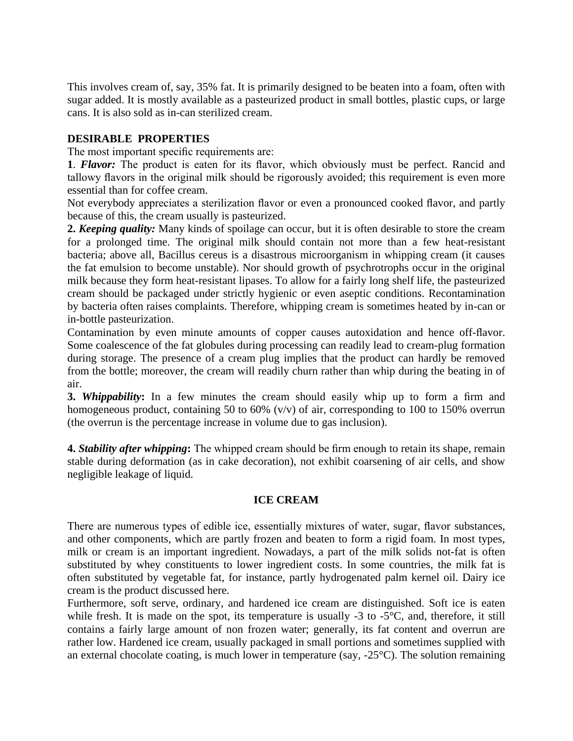This involves cream of, say, 35% fat. It is primarily designed to be beaten into a foam, often with sugar added. It is mostly available as a pasteurized product in small bottles, plastic cups, or large cans. It is also sold as in-can sterilized cream.

## **DESIRABLE PROPERTIES**

The most important specific requirements are:

**1**. *Flavor:* The product is eaten for its flavor, which obviously must be perfect. Rancid and tallowy flavors in the original milk should be rigorously avoided; this requirement is even more essential than for coffee cream.

Not everybody appreciates a sterilization flavor or even a pronounced cooked flavor, and partly because of this, the cream usually is pasteurized.

**2.** *Keeping quality:* Many kinds of spoilage can occur, but it is often desirable to store the cream for a prolonged time. The original milk should contain not more than a few heat-resistant bacteria; above all, Bacillus cereus is a disastrous microorganism in whipping cream (it causes the fat emulsion to become unstable). Nor should growth of psychrotrophs occur in the original milk because they form heat-resistant lipases. To allow for a fairly long shelf life, the pasteurized cream should be packaged under strictly hygienic or even aseptic conditions. Recontamination by bacteria often raises complaints. Therefore, whipping cream is sometimes heated by in-can or in-bottle pasteurization.

Contamination by even minute amounts of copper causes autoxidation and hence off-flavor. Some coalescence of the fat globules during processing can readily lead to cream-plug formation during storage. The presence of a cream plug implies that the product can hardly be removed from the bottle; moreover, the cream will readily churn rather than whip during the beating in of air.

**3.** *Whippability***:** In a few minutes the cream should easily whip up to form a firm and homogeneous product, containing 50 to 60%  $(v/v)$  of air, corresponding to 100 to 150% overrun (the overrun is the percentage increase in volume due to gas inclusion).

**4.** *Stability after whipping***:** The whipped cream should be firm enough to retain its shape, remain stable during deformation (as in cake decoration), not exhibit coarsening of air cells, and show negligible leakage of liquid.

## **ICE CREAM**

There are numerous types of edible ice, essentially mixtures of water, sugar, flavor substances, and other components, which are partly frozen and beaten to form a rigid foam. In most types, milk or cream is an important ingredient. Nowadays, a part of the milk solids not-fat is often substituted by whey constituents to lower ingredient costs. In some countries, the milk fat is often substituted by vegetable fat, for instance, partly hydrogenated palm kernel oil. Dairy ice cream is the product discussed here.

Furthermore, soft serve, ordinary, and hardened ice cream are distinguished. Soft ice is eaten while fresh. It is made on the spot, its temperature is usually -3 to -5<sup>o</sup>C, and, therefore, it still contains a fairly large amount of non frozen water; generally, its fat content and overrun are rather low. Hardened ice cream, usually packaged in small portions and sometimes supplied with an external chocolate coating, is much lower in temperature (say, -25°C). The solution remaining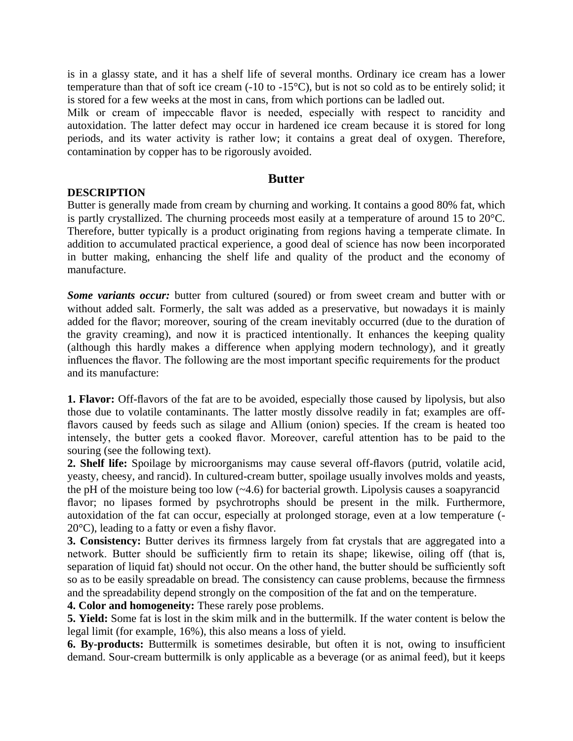is in a glassy state, and it has a shelf life of several months. Ordinary ice cream has a lower temperature than that of soft ice cream (-10 to -15°C), but is not so cold as to be entirely solid; it is stored for a few weeks at the most in cans, from which portions can be ladled out.

Milk or cream of impeccable flavor is needed, especially with respect to rancidity and autoxidation. The latter defect may occur in hardened ice cream because it is stored for long periods, and its water activity is rather low; it contains a great deal of oxygen. Therefore, contamination by copper has to be rigorously avoided.

#### **Butter**

#### **DESCRIPTION**

Butter is generally made from cream by churning and working. It contains a good 80% fat, which is partly crystallized. The churning proceeds most easily at a temperature of around 15 to 20°C. Therefore, butter typically is a product originating from regions having a temperate climate. In addition to accumulated practical experience, a good deal of science has now been incorporated in butter making, enhancing the shelf life and quality of the product and the economy of manufacture.

**Some variants occur:** butter from cultured (soured) or from sweet cream and butter with or without added salt. Formerly, the salt was added as a preservative, but nowadays it is mainly added for the flavor; moreover, souring of the cream inevitably occurred (due to the duration of the gravity creaming), and now it is practiced intentionally. It enhances the keeping quality (although this hardly makes a difference when applying modern technology), and it greatly influences the flavor. The following are the most important specific requirements for the product and its manufacture:

**1. Flavor:** Off-flavors of the fat are to be avoided, especially those caused by lipolysis, but also those due to volatile contaminants. The latter mostly dissolve readily in fat; examples are offflavors caused by feeds such as silage and Allium (onion) species. If the cream is heated too intensely, the butter gets a cooked flavor. Moreover, careful attention has to be paid to the souring (see the following text).

**2. Shelf life:** Spoilage by microorganisms may cause several off-flavors (putrid, volatile acid, yeasty, cheesy, and rancid). In cultured-cream butter, spoilage usually involves molds and yeasts, the pH of the moisture being too low (~4.6) for bacterial growth. Lipolysis causes a soapyrancid

flavor; no lipases formed by psychrotrophs should be present in the milk. Furthermore, autoxidation of the fat can occur, especially at prolonged storage, even at a low temperature (- 20°C), leading to a fatty or even a fishy flavor.

**3. Consistency:** Butter derives its firmness largely from fat crystals that are aggregated into a network. Butter should be sufficiently firm to retain its shape; likewise, oiling off (that is, separation of liquid fat) should not occur. On the other hand, the butter should be sufficiently soft so as to be easily spreadable on bread. The consistency can cause problems, because the firmness and the spreadability depend strongly on the composition of the fat and on the temperature.

**4. Color and homogeneity:** These rarely pose problems.

**5. Yield:** Some fat is lost in the skim milk and in the buttermilk. If the water content is below the legal limit (for example, 16%), this also means a loss of yield.

**6. By-products:** Buttermilk is sometimes desirable, but often it is not, owing to insufficient demand. Sour-cream buttermilk is only applicable as a beverage (or as animal feed), but it keeps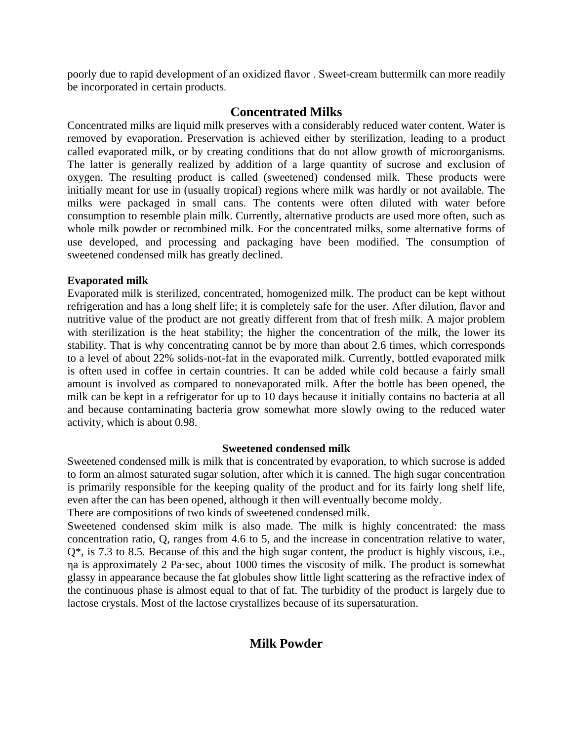poorly due to rapid development of an oxidized flavor . Sweet-cream buttermilk can more readily be incorporated in certain products.

## **Concentrated Milks**

Concentrated milks are liquid milk preserves with a considerably reduced water content. Water is removed by evaporation. Preservation is achieved either by sterilization, leading to a product called evaporated milk, or by creating conditions that do not allow growth of microorganisms. The latter is generally realized by addition of a large quantity of sucrose and exclusion of oxygen. The resulting product is called (sweetened) condensed milk. These products were initially meant for use in (usually tropical) regions where milk was hardly or not available. The milks were packaged in small cans. The contents were often diluted with water before consumption to resemble plain milk. Currently, alternative products are used more often, such as whole milk powder or recombined milk. For the concentrated milks, some alternative forms of use developed, and processing and packaging have been modified. The consumption of sweetened condensed milk has greatly declined.

#### **Evaporated milk**

Evaporated milk is sterilized, concentrated, homogenized milk. The product can be kept without refrigeration and has a long shelf life; it is completely safe for the user. After dilution, flavor and nutritive value of the product are not greatly different from that of fresh milk. A major problem with sterilization is the heat stability; the higher the concentration of the milk, the lower its stability. That is why concentrating cannot be by more than about 2.6 times, which corresponds to a level of about 22% solids-not-fat in the evaporated milk. Currently, bottled evaporated milk is often used in coffee in certain countries. It can be added while cold because a fairly small amount is involved as compared to nonevaporated milk. After the bottle has been opened, the milk can be kept in a refrigerator for up to 10 days because it initially contains no bacteria at all and because contaminating bacteria grow somewhat more slowly owing to the reduced water activity, which is about 0.98.

#### **Sweetened condensed milk**

Sweetened condensed milk is milk that is concentrated by evaporation, to which sucrose is added to form an almost saturated sugar solution, after which it is canned. The high sugar concentration is primarily responsible for the keeping quality of the product and for its fairly long shelf life, even after the can has been opened, although it then will eventually become moldy.

There are compositions of two kinds of sweetened condensed milk.

Sweetened condensed skim milk is also made. The milk is highly concentrated: the mass concentration ratio, Q, ranges from 4.6 to 5, and the increase in concentration relative to water, Q\*, is 7.3 to 8.5. Because of this and the high sugar content, the product is highly viscous, i.e., ηa is approximately 2 Pa·sec, about 1000 times the viscosity of milk. The product is somewhat glassy in appearance because the fat globules show little light scattering as the refractive index of the continuous phase is almost equal to that of fat. The turbidity of the product is largely due to lactose crystals. Most of the lactose crystallizes because of its supersaturation.

# **Milk Powder**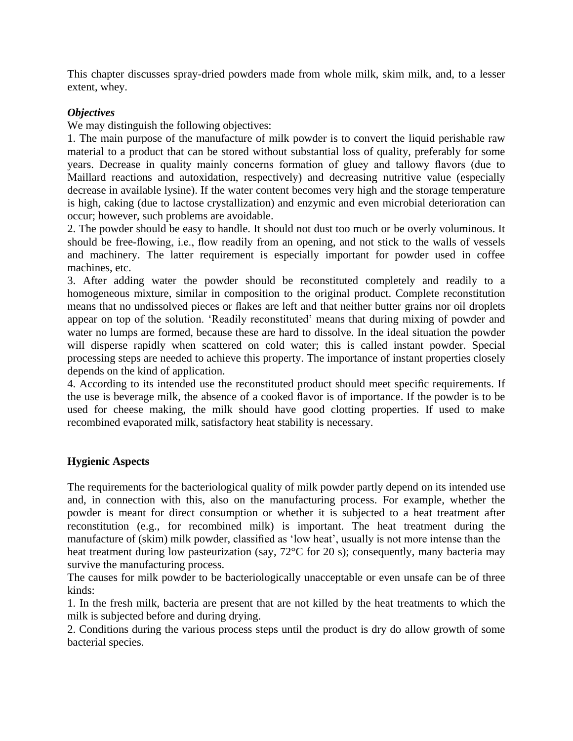This chapter discusses spray-dried powders made from whole milk, skim milk, and, to a lesser extent, whey.

#### *Objectives*

We may distinguish the following objectives:

1. The main purpose of the manufacture of milk powder is to convert the liquid perishable raw material to a product that can be stored without substantial loss of quality, preferably for some years. Decrease in quality mainly concerns formation of gluey and tallowy flavors (due to Maillard reactions and autoxidation, respectively) and decreasing nutritive value (especially decrease in available lysine). If the water content becomes very high and the storage temperature is high, caking (due to lactose crystallization) and enzymic and even microbial deterioration can occur; however, such problems are avoidable.

2. The powder should be easy to handle. It should not dust too much or be overly voluminous. It should be free-flowing, i.e., flow readily from an opening, and not stick to the walls of vessels and machinery. The latter requirement is especially important for powder used in coffee machines, etc.

3. After adding water the powder should be reconstituted completely and readily to a homogeneous mixture, similar in composition to the original product. Complete reconstitution means that no undissolved pieces or flakes are left and that neither butter grains nor oil droplets appear on top of the solution. 'Readily reconstituted' means that during mixing of powder and water no lumps are formed, because these are hard to dissolve. In the ideal situation the powder will disperse rapidly when scattered on cold water; this is called instant powder. Special processing steps are needed to achieve this property. The importance of instant properties closely depends on the kind of application.

4. According to its intended use the reconstituted product should meet specific requirements. If the use is beverage milk, the absence of a cooked flavor is of importance. If the powder is to be used for cheese making, the milk should have good clotting properties. If used to make recombined evaporated milk, satisfactory heat stability is necessary.

## **Hygienic Aspects**

The requirements for the bacteriological quality of milk powder partly depend on its intended use and, in connection with this, also on the manufacturing process. For example, whether the powder is meant for direct consumption or whether it is subjected to a heat treatment after reconstitution (e.g., for recombined milk) is important. The heat treatment during the manufacture of (skim) milk powder, classified as 'low heat', usually is not more intense than the heat treatment during low pasteurization (say, 72<sup>o</sup>C for 20 s); consequently, many bacteria may survive the manufacturing process.

The causes for milk powder to be bacteriologically unacceptable or even unsafe can be of three kinds:

1. In the fresh milk, bacteria are present that are not killed by the heat treatments to which the milk is subjected before and during drying.

2. Conditions during the various process steps until the product is dry do allow growth of some bacterial species.